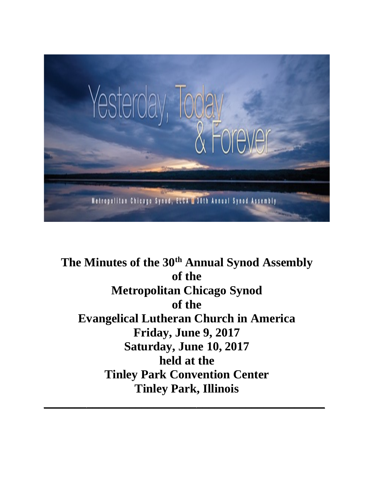

**The Minutes of the 30th Annual Synod Assembly of the Metropolitan Chicago Synod of the Evangelical Lutheran Church in America Friday, June 9, 2017 Saturday, June 10, 2017 held at the Tinley Park Convention Center Tinley Park, Illinois**

 $\overline{\phantom{a}}$  , and the contract of the contract of the contract of the contract of the contract of the contract of the contract of the contract of the contract of the contract of the contract of the contract of the contrac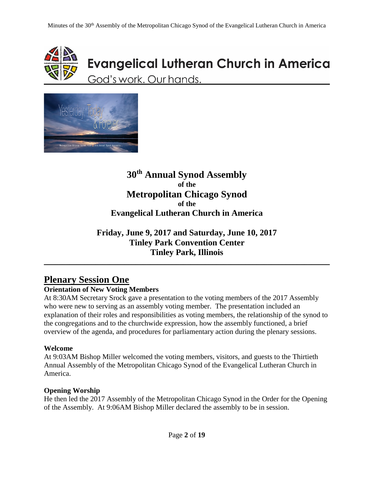

# **Evangelical Lutheran Church in America** God's work. Our hands.



### **30th Annual Synod Assembly of the Metropolitan Chicago Synod of the Evangelical Lutheran Church in America**

### **Friday, June 9, 2017 and Saturday, June 10, 2017 Tinley Park Convention Center Tinley Park, Illinois**

\_\_\_\_\_\_\_\_\_\_\_\_\_\_\_\_\_\_\_\_\_\_\_\_\_\_\_\_\_\_\_\_\_\_\_\_\_\_\_\_\_\_\_\_\_\_\_\_\_\_\_\_\_\_\_\_\_\_\_\_\_\_\_\_\_\_\_\_\_\_\_\_\_\_\_\_\_\_

# **Plenary Session One**

### **Orientation of New Voting Members**

At 8:30AM Secretary Srock gave a presentation to the voting members of the 2017 Assembly who were new to serving as an assembly voting member. The presentation included an explanation of their roles and responsibilities as voting members, the relationship of the synod to the congregations and to the churchwide expression, how the assembly functioned, a brief overview of the agenda, and procedures for parliamentary action during the plenary sessions.

### **Welcome**

At 9:03AM Bishop Miller welcomed the voting members, visitors, and guests to the Thirtieth Annual Assembly of the Metropolitan Chicago Synod of the Evangelical Lutheran Church in America.

### **Opening Worship**

He then led the 2017 Assembly of the Metropolitan Chicago Synod in the Order for the Opening of the Assembly. At 9:06AM Bishop Miller declared the assembly to be in session.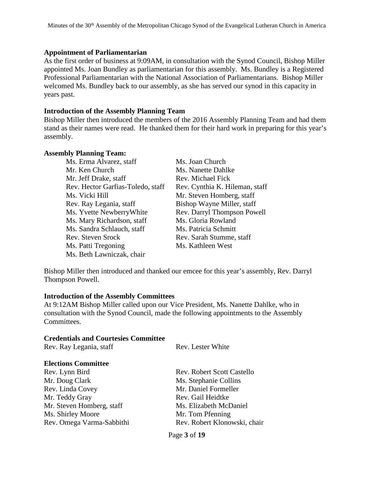#### **Appointment of Parliamentarian**

As the first order of business at 9:09AM, in consultation with the Synod Council, Bishop Miller appointed Ms. Joan Bundley as parliamentarian for this assembly. Ms. Bundley is a Registered Professional Parliamentarian with the National Association of Parliamentarians. Bishop Miller welcomed Ms. Bundley back to our assembly, as she has served our synod in this capacity in years past.

#### **Introduction of the Assembly Planning Team**

Bishop Miller then introduced the members of the 2016 Assembly Planning Team and had them stand as their names were read. He thanked them for their hard work in preparing for this year's assembly.

#### **Assembly Planning Team:**

| Ms. Erma Alvarez, staff           | Ms. Joan Church                |
|-----------------------------------|--------------------------------|
| Mr. Ken Church                    | Ms. Nanette Dahlke             |
| Mr. Jeff Drake, staff             | Rev. Michael Fick              |
| Rev. Hector Garfias-Toledo, staff | Rev. Cynthia K. Hileman, staff |
| Ms. Vicki Hill                    | Mr. Steven Homberg, staff      |
| Rev. Ray Legania, staff           | Bishop Wayne Miller, staff     |
| Ms. Yvette Newberry White         | Rev. Darryl Thompson Powell    |
| Ms. Mary Richardson, staff        | Ms. Gloria Rowland             |
| Ms. Sandra Schlauch, staff        | Ms. Patricia Schmitt           |
| Rev. Steven Srock                 | Rev. Sarah Stumme, staff       |
| Ms. Patti Tregoning               | Ms. Kathleen West              |
| Ms. Beth Lawniczak, chair         |                                |

Bishop Miller then introduced and thanked our emcee for this year's assembly, Rev. Darryl Thompson Powell.

#### **Introduction of the Assembly Committees**

At 9:12AM Bishop Miller called upon our Vice President, Ms. Nanette Dahlke, who in consultation with the Synod Council, made the following appointments to the Assembly Committees.

#### **Credentials and Courtesies Committee**

| Rev. Lester White                 |  |
|-----------------------------------|--|
|                                   |  |
| <b>Rev. Robert Scott Castello</b> |  |
| Ms. Stephanie Collins             |  |
| Mr. Daniel Formeller              |  |
| Rev. Gail Heidtke                 |  |
| Ms. Elizabeth McDaniel            |  |
| Mr. Tom Pfenning                  |  |
| Rev. Robert Klonowski, chair      |  |
|                                   |  |

Page **3** of **19**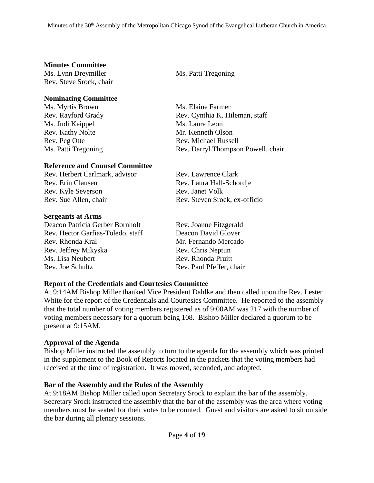#### **Minutes Committee**

Ms. Lynn Dreymiller Ms. Patti Tregoning Rev. Steve Srock, chair

#### **Nominating Committee**

Ms. Myrtis Brown Ms. Elaine Farmer Ms. Judi Keippel Ms. Laura Leon Rev. Kathy Nolte Mr. Kenneth Olson Rev. Peg Otte Rev. Michael Russell

#### **Reference and Counsel Committee**

Rev. Herbert Carlmark, advisor Rev. Lawrence Clark Rev. Erin Clausen Rev. Laura Hall-Schordje Rev. Kyle Severson Rev. Janet Volk Rev. Sue Allen, chair Rev. Steven Srock, ex-officio

#### **Sergeants at Arms**

Deacon Patricia Gerber Bornholt Rev. Joanne Fitzgerald Rev. Hector Garfias-Toledo, staff Deacon David Glover Rev. Rhonda Kral Mr. Fernando Mercado Rev. Jeffrey Mikyska Rev. Chris Neptun Ms. Lisa Neubert **Rev. Rhonda Pruitt** Rev. Joe Schultz Rev. Paul Pfeffer, chair

Rev. Rayford Grady Rev. Cynthia K. Hileman, staff Ms. Patti Tregoning Rev. Darryl Thompson Powell, chair

#### **Report of the Credentials and Courtesies Committee**

At 9:14AM Bishop Miller thanked Vice President Dahlke and then called upon the Rev. Lester White for the report of the Credentials and Courtesies Committee. He reported to the assembly that the total number of voting members registered as of 9:00AM was 217 with the number of voting members necessary for a quorum being 108. Bishop Miller declared a quorum to be present at 9:15AM.

#### **Approval of the Agenda**

Bishop Miller instructed the assembly to turn to the agenda for the assembly which was printed in the supplement to the Book of Reports located in the packets that the voting members had received at the time of registration. It was moved, seconded, and adopted.

#### **Bar of the Assembly and the Rules of the Assembly**

At 9:18AM Bishop Miller called upon Secretary Srock to explain the bar of the assembly. Secretary Srock instructed the assembly that the bar of the assembly was the area where voting members must be seated for their votes to be counted. Guest and visitors are asked to sit outside the bar during all plenary sessions.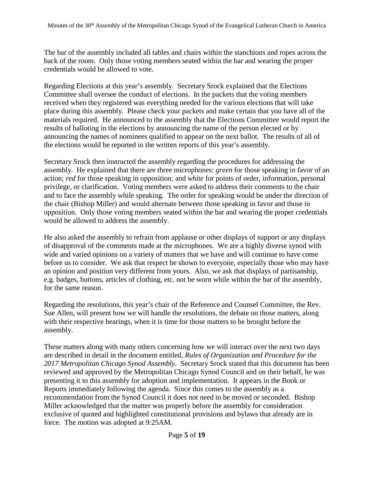The bar of the assembly included all tables and chairs within the stanchions and ropes across the back of the room. Only those voting members seated within the bar and wearing the proper credentials would be allowed to vote.

Regarding Elections at this year's assembly. Secretary Srock explained that the Elections Committee shall oversee the conduct of elections. In the packets that the voting members received when they registered was everything needed for the various elections that will take place during this assembly. Please check your packets and make certain that you have all of the materials required. He announced to the assembly that the Elections Committee would report the results of balloting in the elections by announcing the name of the person elected or by announcing the names of nominees qualified to appear on the next ballot. The results of all of the elections would be reported in the written reports of this year's assembly.

Secretary Srock then instructed the assembly regarding the procedures for addressing the assembly. He explained that there are three microphones: *green* for those speaking in favor of an action; *red* for those speaking in opposition; and *white* for points of order, information, personal privilege, or clarification. Voting members were asked to address their comments to the chair and to face the assembly while speaking. The order for speaking would be under the direction of the chair (Bishop Miller) and would alternate between those speaking in favor and those in opposition. Only those voting members seated within the bar and wearing the proper credentials would be allowed to address the assembly.

He also asked the assembly to refrain from applause or other displays of support or any displays of disapproval of the comments made at the microphones. We are a highly diverse synod with wide and varied opinions on a variety of matters that we have and will continue to have come before us to consider. We ask that respect be shown to everyone, especially those who may have an opinion and position very different from yours. Also, we ask that displays of partisanship, e.g. badges, buttons, articles of clothing, etc. not be worn while within the bar of the assembly, for the same reason.

Regarding the resolutions, this year's chair of the Reference and Counsel Committee, the Rev. Sue Allen, will present how we will handle the resolutions, the debate on those matters, along with their respective hearings, when it is time for those matters to be brought before the assembly.

These matters along with many others concerning how we will interact over the next two days are described in detail in the document entitled, *Rules of Organization and Procedure for the 2017 Metropolitan Chicago Synod Assembly.* Secretary Srock stated that this document has been reviewed and approved by the Metropolitan Chicago Synod Council and on their behalf, he was presenting it to this assembly for adoption and implementation. It appears in the Book or Reports immediately following the agenda. Since this comes to the assembly as a recommendation from the Synod Council it does not need to be moved or seconded. Bishop Miller acknowledged that the matter was properly before the assembly for consideration exclusive of quoted and highlighted constitutional provisions and bylaws that already are in force. The motion was adopted at 9:25AM.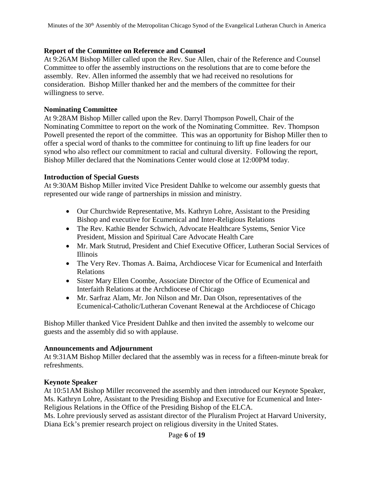#### **Report of the Committee on Reference and Counsel**

At 9:26AM Bishop Miller called upon the Rev. Sue Allen, chair of the Reference and Counsel Committee to offer the assembly instructions on the resolutions that are to come before the assembly. Rev. Allen informed the assembly that we had received no resolutions for consideration. Bishop Miller thanked her and the members of the committee for their willingness to serve.

#### **Nominating Committee**

At 9:28AM Bishop Miller called upon the Rev. Darryl Thompson Powell, Chair of the Nominating Committee to report on the work of the Nominating Committee. Rev. Thompson Powell presented the report of the committee. This was an opportunity for Bishop Miller then to offer a special word of thanks to the committee for continuing to lift up fine leaders for our synod who also reflect our commitment to racial and cultural diversity. Following the report, Bishop Miller declared that the Nominations Center would close at 12:00PM today.

#### **Introduction of Special Guests**

At 9:30AM Bishop Miller invited Vice President Dahlke to welcome our assembly guests that represented our wide range of partnerships in mission and ministry.

- Our Churchwide Representative, Ms. Kathryn Lohre, Assistant to the Presiding Bishop and executive for Ecumenical and Inter-Religious Relations
- The Rev. Kathie Bender Schwich, Advocate Healthcare Systems, Senior Vice President, Mission and Spiritual Care Advocate Health Care
- Mr. Mark Stutrud, President and Chief Executive Officer, Lutheran Social Services of Illinois
- The Very Rev. Thomas A. Baima, Archdiocese Vicar for Ecumenical and Interfaith Relations
- Sister Mary Ellen Coombe, Associate Director of the Office of Ecumenical and Interfaith Relations at the Archdiocese of Chicago
- Mr. Sarfraz Alam, Mr. Jon Nilson and Mr. Dan Olson, representatives of the Ecumenical-Catholic/Lutheran Covenant Renewal at the Archdiocese of Chicago

Bishop Miller thanked Vice President Dahlke and then invited the assembly to welcome our guests and the assembly did so with applause.

#### **Announcements and Adjournment**

At 9:31AM Bishop Miller declared that the assembly was in recess for a fifteen-minute break for refreshments.

#### **Keynote Speaker**

At 10:51AM Bishop Miller reconvened the assembly and then introduced our Keynote Speaker, Ms. Kathryn Lohre, Assistant to the Presiding Bishop and Executive for Ecumenical and Inter-Religious Relations in the Office of the Presiding Bishop of the ELCA.

Ms. Lohre previously served as assistant director of the Pluralism Project at Harvard University, Diana Eck's premier research project on religious diversity in the United States.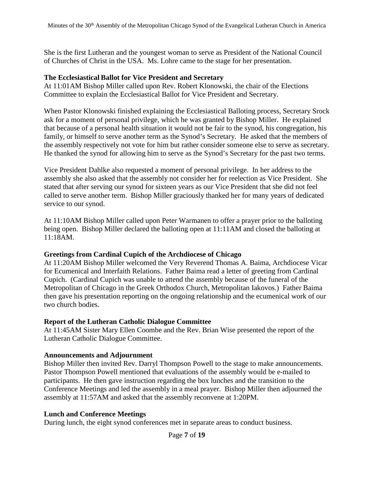She is the first Lutheran and the youngest woman to serve as President of the National Council of Churches of Christ in the USA. Ms. Lohre came to the stage for her presentation.

#### **The Ecclesiastical Ballot for Vice President and Secretary**

At 11:01AM Bishop Miller called upon Rev. Robert Klonowski, the chair of the Elections Committee to explain the Ecclesiastical Ballot for Vice President and Secretary.

When Pastor Klonowski finished explaining the Ecclesiastical Balloting process, Secretary Srock ask for a moment of personal privilege, which he was granted by Bishop Miller. He explained that because of a personal health situation it would not be fair to the synod, his congregation, his family, or himself to serve another term as the Synod's Secretary. He asked that the members of the assembly respectively not vote for him but rather consider someone else to serve as secretary. He thanked the synod for allowing him to serve as the Synod's Secretary for the past two terms.

Vice President Dahlke also requested a moment of personal privilege. In her address to the assembly she also asked that the assembly not consider her for reelection as Vice President. She stated that after serving our synod for sixteen years as our Vice President that she did not feel called to serve another term. Bishop Miller graciously thanked her for many years of dedicated service to our synod.

At 11:10AM Bishop Miller called upon Peter Warmanen to offer a prayer prior to the balloting being open. Bishop Miller declared the balloting open at 11:11AM and closed the balloting at 11:18AM.

#### **Greetings from Cardinal Cupich of the Archdiocese of Chicago**

At 11:20AM Bishop Miller welcomed the Very Reverend Thomas A. Baima, Archdiocese Vicar for Ecumenical and Interfaith Relations. Father Baima read a letter of greeting from Cardinal Cupich. (Cardinal Cupich was unable to attend the assembly because of the funeral of the Metropolitan of Chicago in the Greek Orthodox Church, Metropolitan Iakovos.) Father Baima then gave his presentation reporting on the ongoing relationship and the ecumenical work of our two church bodies.

#### **Report of the Lutheran Catholic Dialogue Committee**

At 11:45AM Sister Mary Ellen Coombe and the Rev. Brian Wise presented the report of the Lutheran Catholic Dialogue Committee.

#### **Announcements and Adjournment**

Bishop Miller then invited Rev. Darryl Thompson Powell to the stage to make announcements. Pastor Thompson Powell mentioned that evaluations of the assembly would be e-mailed to participants. He then gave instruction regarding the box lunches and the transition to the Conference Meetings and led the assembly in a meal prayer. Bishop Miller then adjourned the assembly at 11:57AM and asked that the assembly reconvene at 1:20PM.

#### **Lunch and Conference Meetings**

During lunch, the eight synod conferences met in separate areas to conduct business.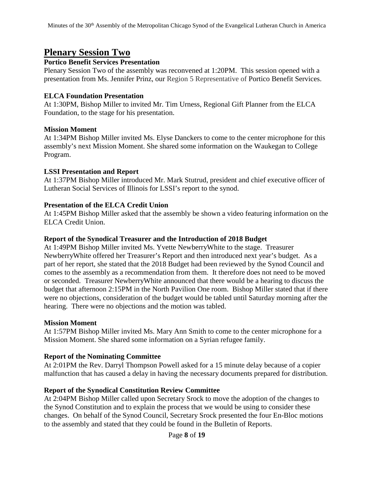# **Plenary Session Two**

#### **Portico Benefit Services Presentation**

Plenary Session Two of the assembly was reconvened at 1:20PM. This session opened with a presentation from Ms. Jennifer Prinz, our Region 5 Representative of Portico Benefit Services.

#### **ELCA Foundation Presentation**

At 1:30PM, Bishop Miller to invited Mr. Tim Urness, Regional Gift Planner from the ELCA Foundation, to the stage for his presentation.

### **Mission Moment**

At 1:34PM Bishop Miller invited Ms. Elyse Danckers to come to the center microphone for this assembly's next Mission Moment. She shared some information on the Waukegan to College Program.

#### **LSSI Presentation and Report**

At 1:37PM Bishop Miller introduced Mr. Mark Stutrud, president and chief executive officer of Lutheran Social Services of Illinois for LSSI's report to the synod.

### **Presentation of the ELCA Credit Union**

At 1:45PM Bishop Miller asked that the assembly be shown a video featuring information on the ELCA Credit Union.

#### **Report of the Synodical Treasurer and the Introduction of 2018 Budget**

At 1:49PM Bishop Miller invited Ms. Yvette NewberryWhite to the stage. Treasurer NewberryWhite offered her Treasurer's Report and then introduced next year's budget. As a part of her report, she stated that the 2018 Budget had been reviewed by the Synod Council and comes to the assembly as a recommendation from them. It therefore does not need to be moved or seconded. Treasurer NewberryWhite announced that there would be a hearing to discuss the budget that afternoon 2:15PM in the North Pavilion One room. Bishop Miller stated that if there were no objections, consideration of the budget would be tabled until Saturday morning after the hearing. There were no objections and the motion was tabled.

#### **Mission Moment**

At 1:57PM Bishop Miller invited Ms. Mary Ann Smith to come to the center microphone for a Mission Moment. She shared some information on a Syrian refugee family.

### **Report of the Nominating Committee**

At 2:01PM the Rev. Darryl Thompson Powell asked for a 15 minute delay because of a copier malfunction that has caused a delay in having the necessary documents prepared for distribution.

### **Report of the Synodical Constitution Review Committee**

At 2:04PM Bishop Miller called upon Secretary Srock to move the adoption of the changes to the Synod Constitution and to explain the process that we would be using to consider these changes. On behalf of the Synod Council, Secretary Srock presented the four En-Bloc motions to the assembly and stated that they could be found in the Bulletin of Reports.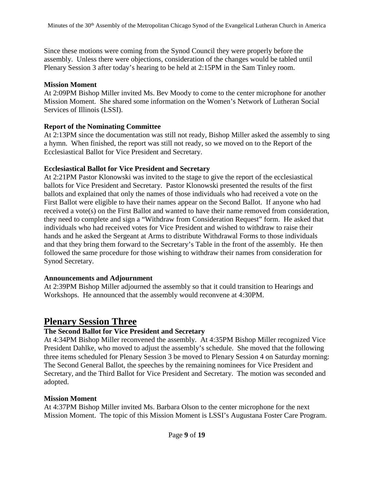Since these motions were coming from the Synod Council they were properly before the assembly. Unless there were objections, consideration of the changes would be tabled until Plenary Session 3 after today's hearing to be held at 2:15PM in the Sam Tinley room.

#### **Mission Moment**

At 2:09PM Bishop Miller invited Ms. Bev Moody to come to the center microphone for another Mission Moment. She shared some information on the Women's Network of Lutheran Social Services of Illinois (LSSI).

#### **Report of the Nominating Committee**

At 2:13PM since the documentation was still not ready, Bishop Miller asked the assembly to sing a hymn. When finished, the report was still not ready, so we moved on to the Report of the Ecclesiastical Ballot for Vice President and Secretary.

#### **Ecclesiastical Ballot for Vice President and Secretary**

At 2:21PM Pastor Klonowski was invited to the stage to give the report of the ecclesiastical ballots for Vice President and Secretary. Pastor Klonowski presented the results of the first ballots and explained that only the names of those individuals who had received a vote on the First Ballot were eligible to have their names appear on the Second Ballot. If anyone who had received a vote(s) on the First Ballot and wanted to have their name removed from consideration, they need to complete and sign a "Withdraw from Consideration Request" form. He asked that individuals who had received votes for Vice President and wished to withdraw to raise their hands and he asked the Sergeant at Arms to distribute Withdrawal Forms to those individuals and that they bring them forward to the Secretary's Table in the front of the assembly. He then followed the same procedure for those wishing to withdraw their names from consideration for Synod Secretary.

### **Announcements and Adjournment**

At 2:39PM Bishop Miller adjourned the assembly so that it could transition to Hearings and Workshops. He announced that the assembly would reconvene at 4:30PM.

# **Plenary Session Three**

### **The Second Ballot for Vice President and Secretary**

At 4:34PM Bishop Miller reconvened the assembly. At 4:35PM Bishop Miller recognized Vice President Dahlke, who moved to adjust the assembly's schedule. She moved that the following three items scheduled for Plenary Session 3 be moved to Plenary Session 4 on Saturday morning: The Second General Ballot, the speeches by the remaining nominees for Vice President and Secretary, and the Third Ballot for Vice President and Secretary. The motion was seconded and adopted.

### **Mission Moment**

At 4:37PM Bishop Miller invited Ms. Barbara Olson to the center microphone for the next Mission Moment. The topic of this Mission Moment is LSSI's Augustana Foster Care Program.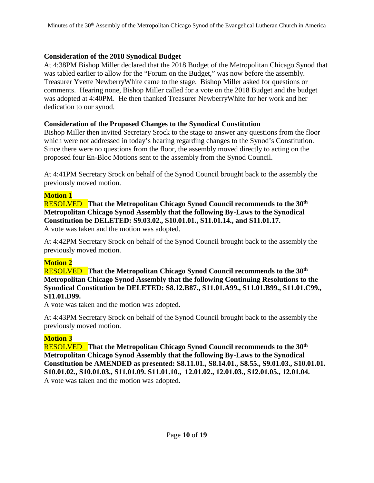#### **Consideration of the 2018 Synodical Budget**

At 4:38PM Bishop Miller declared that the 2018 Budget of the Metropolitan Chicago Synod that was tabled earlier to allow for the "Forum on the Budget," was now before the assembly. Treasurer Yvette NewberryWhite came to the stage. Bishop Miller asked for questions or comments. Hearing none, Bishop Miller called for a vote on the 2018 Budget and the budget was adopted at 4:40PM. He then thanked Treasurer NewberryWhite for her work and her dedication to our synod.

### **Consideration of the Proposed Changes to the Synodical Constitution**

Bishop Miller then invited Secretary Srock to the stage to answer any questions from the floor which were not addressed in today's hearing regarding changes to the Synod's Constitution. Since there were no questions from the floor, the assembly moved directly to acting on the proposed four En-Bloc Motions sent to the assembly from the Synod Council.

At 4:41PM Secretary Srock on behalf of the Synod Council brought back to the assembly the previously moved motion.

### **Motion 1**

RESOLVED **That the Metropolitan Chicago Synod Council recommends to the 30th Metropolitan Chicago Synod Assembly that the following By-Laws to the Synodical Constitution be DELETED: S9.03.02., S10.01.01., S11.01.14., and S11.01.17.** A vote was taken and the motion was adopted.

At 4:42PM Secretary Srock on behalf of the Synod Council brought back to the assembly the previously moved motion.

### **Motion 2**

RESOLVED **That the Metropolitan Chicago Synod Council recommends to the 30th Metropolitan Chicago Synod Assembly that the following Continuing Resolutions to the Synodical Constitution be DELETED: S8.12.B87., S11.01.A99., S11.01.B99., S11.01.C99., S11.01.D99.**

A vote was taken and the motion was adopted.

At 4:43PM Secretary Srock on behalf of the Synod Council brought back to the assembly the previously moved motion.

### **Motion 3**

RESOLVED **That the Metropolitan Chicago Synod Council recommends to the 30th Metropolitan Chicago Synod Assembly that the following By-Laws to the Synodical Constitution be AMENDED as presented: S8.11.01., S8.14.01., S8.55., S9.01.03., S10.01.01. S10.01.02., S10.01.03., S11.01.09. S11.01.10., 12.01.02., 12.01.03., S12.01.05., 12.01.04.** A vote was taken and the motion was adopted.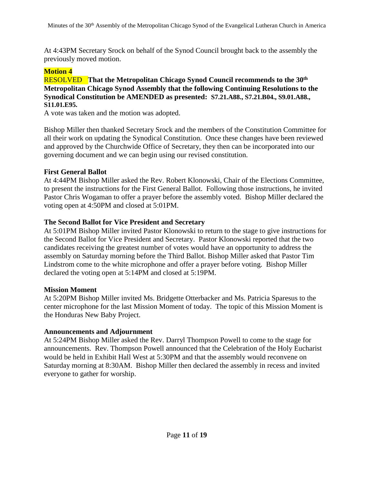At 4:43PM Secretary Srock on behalf of the Synod Council brought back to the assembly the previously moved motion.

#### **Motion 4**

#### RESOLVED **That the Metropolitan Chicago Synod Council recommends to the 30th Metropolitan Chicago Synod Assembly that the following Continuing Resolutions to the Synodical Constitution be AMENDED as presented: S7.21.A88., S7.21.B04., S9.01.A88., S11.01.E95.**

A vote was taken and the motion was adopted.

Bishop Miller then thanked Secretary Srock and the members of the Constitution Committee for all their work on updating the Synodical Constitution. Once these changes have been reviewed and approved by the Churchwide Office of Secretary, they then can be incorporated into our governing document and we can begin using our revised constitution.

#### **First General Ballot**

At 4:44PM Bishop Miller asked the Rev. Robert Klonowski, Chair of the Elections Committee, to present the instructions for the First General Ballot. Following those instructions, he invited Pastor Chris Wogaman to offer a prayer before the assembly voted. Bishop Miller declared the voting open at 4:50PM and closed at 5:01PM.

### **The Second Ballot for Vice President and Secretary**

At 5:01PM Bishop Miller invited Pastor Klonowski to return to the stage to give instructions for the Second Ballot for Vice President and Secretary. Pastor Klonowski reported that the two candidates receiving the greatest number of votes would have an opportunity to address the assembly on Saturday morning before the Third Ballot. Bishop Miller asked that Pastor Tim Lindstrom come to the white microphone and offer a prayer before voting. Bishop Miller declared the voting open at 5:14PM and closed at 5:19PM.

### **Mission Moment**

At 5:20PM Bishop Miller invited Ms. Bridgette Otterbacker and Ms. Patricia Sparesus to the center microphone for the last Mission Moment of today. The topic of this Mission Moment is the Honduras New Baby Project.

### **Announcements and Adjournment**

At 5:24PM Bishop Miller asked the Rev. Darryl Thompson Powell to come to the stage for announcements. Rev. Thompson Powell announced that the Celebration of the Holy Eucharist would be held in Exhibit Hall West at 5:30PM and that the assembly would reconvene on Saturday morning at 8:30AM. Bishop Miller then declared the assembly in recess and invited everyone to gather for worship.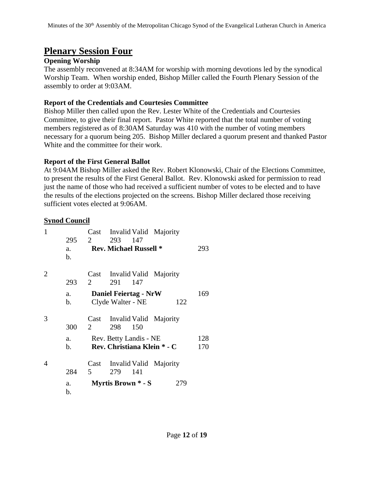# **Plenary Session Four**

### **Opening Worship**

The assembly reconvened at 8:34AM for worship with morning devotions led by the synodical Worship Team. When worship ended, Bishop Miller called the Fourth Plenary Session of the assembly to order at 9:03AM.

### **Report of the Credentials and Courtesies Committee**

Bishop Miller then called upon the Rev. Lester White of the Credentials and Courtesies Committee, to give their final report. Pastor White reported that the total number of voting members registered as of 8:30AM Saturday was 410 with the number of voting members necessary for a quorum being 205. Bishop Miller declared a quorum present and thanked Pastor White and the committee for their work.

### **Report of the First General Ballot**

At 9:04AM Bishop Miller asked the Rev. Robert Klonowski, Chair of the Elections Committee, to present the results of the First General Ballot. Rev. Klonowski asked for permission to read just the name of those who had received a sufficient number of votes to be elected and to have the results of the elections projected on the screens. Bishop Miller declared those receiving sufficient votes elected at 9:06AM.

### **Synod Council**

| 1 | 295<br>a.<br>b. | 2         | 293 147<br><b>Rev. Michael Russell *</b>          |     | Cast Invalid Valid Majority | 293        |
|---|-----------------|-----------|---------------------------------------------------|-----|-----------------------------|------------|
| 2 | 293             | 2         | 291                                               | 147 | Cast Invalid Valid Majority |            |
|   | a.<br>b.        |           | <b>Daniel Feiertag - NrW</b><br>Clyde Walter - NE |     | 122                         | 169        |
| 3 | 300             | Cast<br>2 | 298                                               | 150 | Invalid Valid Majority      |            |
|   | a.<br>b.        |           | Rev. Betty Landis - NE                            |     | Rev. Christiana Klein * - C | 128<br>170 |
| 4 | 284             | Cast<br>5 | 279                                               | 141 | Invalid Valid Majority      |            |
|   | a.<br>b.        |           | Myrtis Brown * - S                                |     | 279                         |            |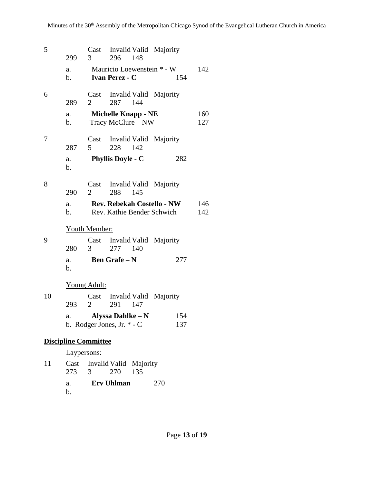| 5  | 299         | $3 \quad \text{ }$          | 296 148                                                  | Cast Invalid Valid Majority                                     |            |
|----|-------------|-----------------------------|----------------------------------------------------------|-----------------------------------------------------------------|------------|
|    | a.<br>b.    |                             | <b>Ivan Perez - C</b>                                    | Mauricio Loewenstein * - W<br>154                               | 142        |
| 6  | 289         | $\mathbf{2}$                | 287 144                                                  | Cast Invalid Valid Majority                                     |            |
|    | a.<br>b.    |                             | <b>Michelle Knapp - NE</b><br>Tracy McClure – NW         |                                                                 | 160<br>127 |
| 7  | 287         | 5 <sup>5</sup>              | 228 142                                                  | Cast Invalid Valid Majority                                     |            |
|    | a.<br>b.    |                             | <b>Phyllis Doyle - C</b>                                 | 282                                                             |            |
| 8  | 290         | 2                           | 288 145                                                  | Cast Invalid Valid Majority                                     |            |
|    | a.<br>b.    |                             |                                                          | <b>Rev. Rebekah Costello - NW</b><br>Rev. Kathie Bender Schwich | 146<br>142 |
|    |             | <b>Youth Member:</b>        |                                                          |                                                                 |            |
| 9  | 280         |                             | 3 277 140                                                | Cast Invalid Valid Majority                                     |            |
|    | a.<br>b.    |                             | <b>Ben Grafe – N</b>                                     | 277                                                             |            |
|    |             | <b>Young Adult:</b>         |                                                          |                                                                 |            |
| 10 | 293         | $\overline{2}$              | 291 147                                                  | Cast Invalid Valid Majority                                     |            |
|    | a.          |                             | <b>Alyssa Dahlke – N</b><br>b. Rodger Jones, Jr. $*$ - C | 154<br>137                                                      |            |
|    |             | <b>Discipline Committee</b> |                                                          |                                                                 |            |
|    | Laypersons: |                             |                                                          |                                                                 |            |
| 11 |             |                             | Cast Invalid Valid Majority                              |                                                                 |            |

- 273 3 270 135 a. **Erv Uhlman** 270
	- b.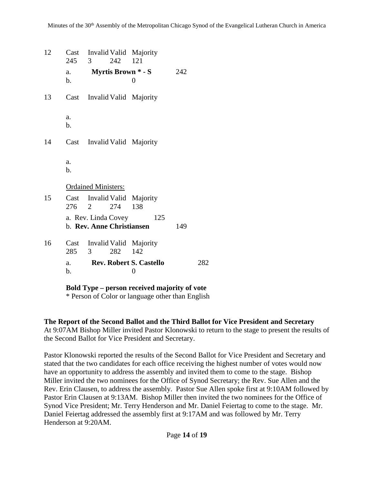| 12 | 245                  | $\overline{3}$                                   | 242 | Cast Invalid Valid Majority<br>121          |     |     |
|----|----------------------|--------------------------------------------------|-----|---------------------------------------------|-----|-----|
|    | a.<br>$\mathbf{b}$ . |                                                  |     | <b>Myrtis Brown * - S</b><br>$\overline{0}$ | 242 |     |
| 13 | Cast                 |                                                  |     | Invalid Valid Majority                      |     |     |
|    | a.<br>b.             |                                                  |     |                                             |     |     |
| 14 |                      |                                                  |     | Cast Invalid Valid Majority                 |     |     |
|    | a.<br>b.             |                                                  |     |                                             |     |     |
|    |                      | <b>Ordained Ministers:</b>                       |     |                                             |     |     |
| 15 |                      | 276 2                                            | 274 | Cast Invalid Valid Majority<br>138          |     |     |
|    |                      | a. Rev. Linda Covey<br>b. Rev. Anne Christiansen |     | 125                                         | 149 |     |
| 16 | Cast<br>285          | $\mathfrak{Z}$                                   | 282 | Invalid Valid Majority<br>142               |     |     |
|    | a.<br>b.             |                                                  |     | <b>Rev. Robert S. Castello</b><br>0         |     | 282 |

**Bold Type – person received majority of vote**

\* Person of Color or language other than English

#### **The Report of the Second Ballot and the Third Ballot for Vice President and Secretary**

At 9:07AM Bishop Miller invited Pastor Klonowski to return to the stage to present the results of the Second Ballot for Vice President and Secretary.

Pastor Klonowski reported the results of the Second Ballot for Vice President and Secretary and stated that the two candidates for each office receiving the highest number of votes would now have an opportunity to address the assembly and invited them to come to the stage. Bishop Miller invited the two nominees for the Office of Synod Secretary; the Rev. Sue Allen and the Rev. Erin Clausen, to address the assembly. Pastor Sue Allen spoke first at 9:10AM followed by Pastor Erin Clausen at 9:13AM. Bishop Miller then invited the two nominees for the Office of Synod Vice President; Mr. Terry Henderson and Mr. Daniel Feiertag to come to the stage. Mr. Daniel Feiertag addressed the assembly first at 9:17AM and was followed by Mr. Terry Henderson at 9:20AM.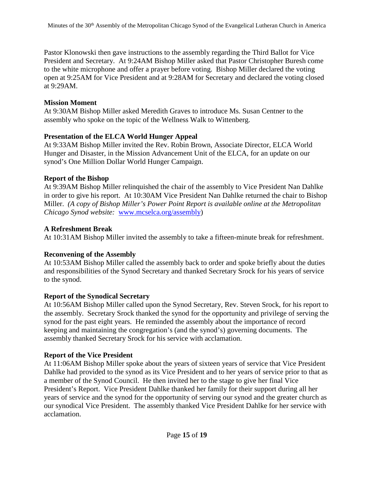Pastor Klonowski then gave instructions to the assembly regarding the Third Ballot for Vice President and Secretary. At 9:24AM Bishop Miller asked that Pastor Christopher Buresh come to the white microphone and offer a prayer before voting. Bishop Miller declared the voting open at 9:25AM for Vice President and at 9:28AM for Secretary and declared the voting closed at 9:29AM.

#### **Mission Moment**

At 9:30AM Bishop Miller asked Meredith Graves to introduce Ms. Susan Centner to the assembly who spoke on the topic of the Wellness Walk to Wittenberg.

### **Presentation of the ELCA World Hunger Appeal**

At 9:33AM Bishop Miller invited the Rev. Robin Brown, Associate Director, ELCA World Hunger and Disaster, in the Mission Advancement Unit of the ELCA, for an update on our synod's One Million Dollar World Hunger Campaign.

### **Report of the Bishop**

At 9:39AM Bishop Miller relinquished the chair of the assembly to Vice President Nan Dahlke in order to give his report. At 10:30AM Vice President Nan Dahlke returned the chair to Bishop Miller. *(A copy of Bishop Miller's Power Point Report is available online at the Metropolitan Chicago Synod website:* [www.mcselca.org/assembly\)](http://www.mcselca.org/assembly)

### **A Refreshment Break**

At 10:31AM Bishop Miller invited the assembly to take a fifteen-minute break for refreshment.

### **Reconvening of the Assembly**

At 10:53AM Bishop Miller called the assembly back to order and spoke briefly about the duties and responsibilities of the Synod Secretary and thanked Secretary Srock for his years of service to the synod.

### **Report of the Synodical Secretary**

At 10:56AM Bishop Miller called upon the Synod Secretary, Rev. Steven Srock, for his report to the assembly. Secretary Srock thanked the synod for the opportunity and privilege of serving the synod for the past eight years. He reminded the assembly about the importance of record keeping and maintaining the congregation's (and the synod's) governing documents. The assembly thanked Secretary Srock for his service with acclamation.

### **Report of the Vice President**

At 11:06AM Bishop Miller spoke about the years of sixteen years of service that Vice President Dahlke had provided to the synod as its Vice President and to her years of service prior to that as a member of the Synod Council. He then invited her to the stage to give her final Vice President's Report. Vice President Dahlke thanked her family for their support during all her years of service and the synod for the opportunity of serving our synod and the greater church as our synodical Vice President. The assembly thanked Vice President Dahlke for her service with acclamation.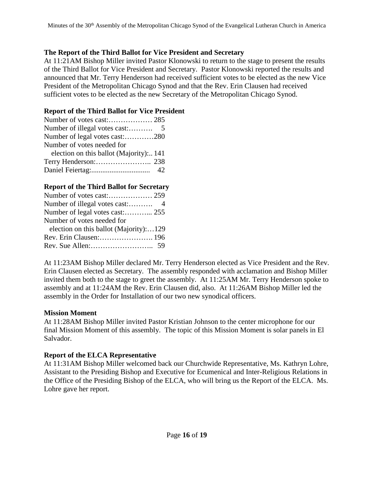### **The Report of the Third Ballot for Vice President and Secretary**

At 11:21AM Bishop Miller invited Pastor Klonowski to return to the stage to present the results of the Third Ballot for Vice President and Secretary. Pastor Klonowski reported the results and announced that Mr. Terry Henderson had received sufficient votes to be elected as the new Vice President of the Metropolitan Chicago Synod and that the Rev. Erin Clausen had received sufficient votes to be elected as the new Secretary of the Metropolitan Chicago Synod.

#### **Report of the Third Ballot for Vice President**

| Number of legal votes cast:280         |
|----------------------------------------|
| Number of votes needed for             |
| election on this ballot (Majority) 141 |
|                                        |
|                                        |

#### **Report of the Third Ballot for Secretary**

| Number of votes needed for             |  |
|----------------------------------------|--|
| election on this ballot (Majority):129 |  |
| Rev. Erin Clausen: 196                 |  |
|                                        |  |
|                                        |  |

At 11:23AM Bishop Miller declared Mr. Terry Henderson elected as Vice President and the Rev. Erin Clausen elected as Secretary. The assembly responded with acclamation and Bishop Miller invited them both to the stage to greet the assembly. At 11:25AM Mr. Terry Henderson spoke to assembly and at 11:24AM the Rev. Erin Clausen did, also. At 11:26AM Bishop Miller led the assembly in the Order for Installation of our two new synodical officers.

#### **Mission Moment**

At 11:28AM Bishop Miller invited Pastor Kristian Johnson to the center microphone for our final Mission Moment of this assembly. The topic of this Mission Moment is solar panels in El Salvador.

### **Report of the ELCA Representative**

At 11:31AM Bishop Miller welcomed back our Churchwide Representative, Ms. Kathryn Lohre, Assistant to the Presiding Bishop and Executive for Ecumenical and Inter-Religious Relations in the Office of the Presiding Bishop of the ELCA, who will bring us the Report of the ELCA. Ms. Lohre gave her report.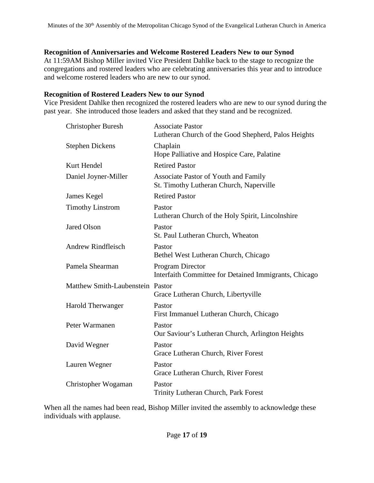#### **Recognition of Anniversaries and Welcome Rostered Leaders New to our Synod**

At 11:59AM Bishop Miller invited Vice President Dahlke back to the stage to recognize the congregations and rostered leaders who are celebrating anniversaries this year and to introduce and welcome rostered leaders who are new to our synod.

#### **Recognition of Rostered Leaders New to our Synod**

Vice President Dahlke then recognized the rostered leaders who are new to our synod during the past year. She introduced those leaders and asked that they stand and be recognized.

| <b>Christopher Buresh</b>        | <b>Associate Pastor</b><br>Lutheran Church of the Good Shepherd, Palos Heights  |
|----------------------------------|---------------------------------------------------------------------------------|
| <b>Stephen Dickens</b>           | Chaplain<br>Hope Palliative and Hospice Care, Palatine                          |
| Kurt Hendel                      | <b>Retired Pastor</b>                                                           |
| Daniel Joyner-Miller             | Associate Pastor of Youth and Family<br>St. Timothy Lutheran Church, Naperville |
| James Kegel                      | <b>Retired Pastor</b>                                                           |
| <b>Timothy Linstrom</b>          | Pastor<br>Lutheran Church of the Holy Spirit, Lincolnshire                      |
| <b>Jared Olson</b>               | Pastor<br>St. Paul Lutheran Church, Wheaton                                     |
| <b>Andrew Rindfleisch</b>        | Pastor<br>Bethel West Lutheran Church, Chicago                                  |
| Pamela Shearman                  | Program Director<br>Interfaith Committee for Detained Immigrants, Chicago       |
| Matthew Smith-Laubenstein Pastor | Grace Lutheran Church, Libertyville                                             |
| Harold Therwanger                | Pastor<br>First Immanuel Lutheran Church, Chicago                               |
| Peter Warmanen                   | Pastor<br>Our Saviour's Lutheran Church, Arlington Heights                      |
| David Wegner                     | Pastor<br>Grace Lutheran Church, River Forest                                   |
| Lauren Wegner                    | Pastor<br>Grace Lutheran Church, River Forest                                   |
| Christopher Wogaman              | Pastor<br>Trinity Lutheran Church, Park Forest                                  |

When all the names had been read, Bishop Miller invited the assembly to acknowledge these individuals with applause.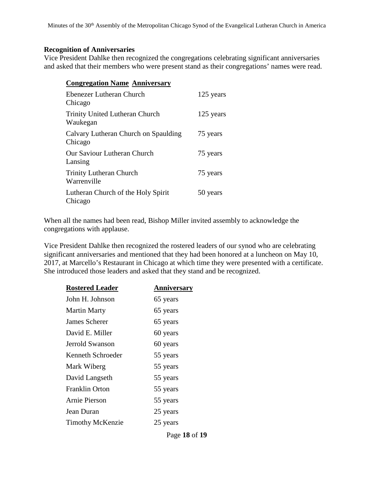#### **Recognition of Anniversaries**

Vice President Dahlke then recognized the congregations celebrating significant anniversaries and asked that their members who were present stand as their congregations' names were read.

| <b>Congregation Name Anniversary</b>              |           |
|---------------------------------------------------|-----------|
| Ebenezer Lutheran Church<br>Chicago               | 125 years |
| <b>Trinity United Lutheran Church</b><br>Waukegan | 125 years |
| Calvary Lutheran Church on Spaulding<br>Chicago   | 75 years  |
| Our Saviour Lutheran Church<br>Lansing            | 75 years  |
| <b>Trinity Lutheran Church</b><br>Warrenville     | 75 years  |
| Lutheran Church of the Holy Spirit<br>Chicago     | 50 years  |

When all the names had been read, Bishop Miller invited assembly to acknowledge the congregations with applause.

Vice President Dahlke then recognized the rostered leaders of our synod who are celebrating significant anniversaries and mentioned that they had been honored at a luncheon on May 10, 2017, at Marcello's Restaurant in Chicago at which time they were presented with a certificate. She introduced those leaders and asked that they stand and be recognized.

| <b>Rostered Leader</b>  | <b>Anniversary</b> |
|-------------------------|--------------------|
| John H. Johnson         | 65 years           |
| <b>Martin Marty</b>     | 65 years           |
| James Scherer           | 65 years           |
| David E. Miller         | 60 years           |
| Jerrold Swanson         | 60 years           |
| Kenneth Schroeder       | 55 years           |
| Mark Wiberg             | 55 years           |
| David Langseth          | 55 years           |
| Franklin Orton          | 55 years           |
| <b>Arnie Pierson</b>    | 55 years           |
| Jean Duran              | 25 years           |
| <b>Timothy McKenzie</b> | 25 years           |
|                         |                    |

Page **18** of **19**